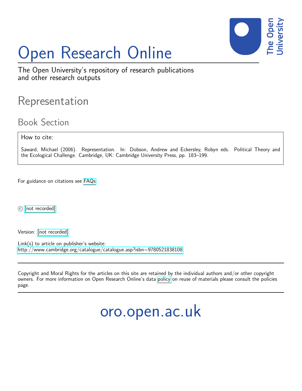

# Open Research Online

The Open University's repository of research publications and other research outputs

Representation

## Book Section

How to cite:

Saward, Michael (2006). Representation. In: Dobson, Andrew and Eckersley, Robyn eds. Political Theory and the Ecological Challenge. Cambridge, UK: Cambridge University Press, pp. 183–199.

For guidance on citations see [FAQs.](http://oro.open.ac.uk/help/helpfaq.html)

c [\[not recorded\]](http://oro.open.ac.uk/help/helpfaq.html#Unrecorded_information_on_coversheet)

Version: [\[not recorded\]](http://oro.open.ac.uk/help/helpfaq.html#Unrecorded_information_on_coversheet)

Link(s) to article on publisher's website: <http://www.cambridge.org/catalogue/catalogue.asp?isbn=9780521838108>

Copyright and Moral Rights for the articles on this site are retained by the individual authors and/or other copyright owners. For more information on Open Research Online's data [policy](http://oro.open.ac.uk/policies.html) on reuse of materials please consult the policies page.

oro.open.ac.uk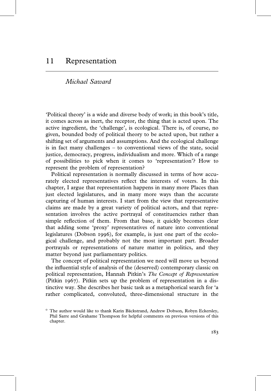#### Michael Saward

'Political theory' is a wide and diverse body of work; in this book's title, it comes across as inert, the receptor, the thing that is acted upon. The active ingredient, the 'challenge', is ecological. There is, of course, no given, bounded body of political theory to be acted upon, but rather a shifting set of arguments and assumptions. And the ecological challenge is in fact many challenges – to conventional views of the state, social justice, democracy, progress, individualism and more. Which of a range of possibilities to pick when it comes to 'representation'? How to represent the problem of representation?

Political representation is normally discussed in terms of how accurately elected representatives reflect the interests of voters. In this chapter, I argue that representation happens in many more Places than just elected legislatures, and in many more ways than the accurate capturing of human interests. I start from the view that representative claims are made by a great variety of political actors, and that representation involves the active portrayal of constituencies rather than simple reflection of them. From that base, it quickly becomes clear that adding some 'proxy' representatives of nature into conventional legislatures (Dobson 1996), for example, is just one part of the ecological challenge, and probably not the most important part. Broader portrayals or representations of nature matter in politics, and they matter beyond just parliamentary politics.

The concept of political representation we need will move us beyond the influential style of analysis of the (deserved) contemporary classic on political representation, Hannah Pitkin's The Concept of Representation (Pitkin 1967). Pitkin sets up the problem of representation in a distinctive way. She describes her basic task as a metaphorical search for 'a rather complicated, convoluted, three-dimensional structure in the

<sup>&</sup>lt;sup>o</sup> The author would like to thank Karin Bäckstrand, Andrew Dobson, Robyn Eckersley, Phil Sarre and Grahame Thompson for helpful comments on previous versions of this chapter.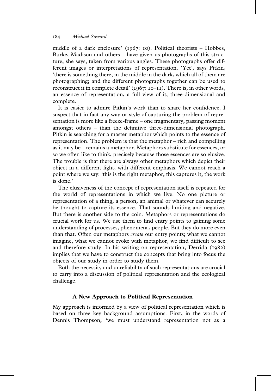middle of a dark enclosure' (1967: 10). Political theorists – Hobbes, Burke, Madison and others – have given us photographs of this structure, she says, taken from various angles. These photographs offer different images or interpretations of representation. 'Yet', says Pitkin, 'there is something there, in the middle in the dark, which all of them are photographing; and the different photographs together can be used to reconstruct it in complete detail' (1967: 10–11). There is, in other words, an essence of representation, a full view of it, three-dimensional and complete.

It is easier to admire Pitkin's work than to share her confidence. I suspect that in fact any way or style of capturing the problem of representation is more like a freeze-frame – one fragmentary, passing moment amongst others – than the definitive three-dimensional photograph. Pitkin is searching for a master metaphor which points to the essence of representation. The problem is that the metaphor – rich and compelling as it may be – remains a metaphor. Metaphors substitute for essences, or so we often like to think, precisely because those essences are so elusive. The trouble is that there are always other metaphors which depict their object in a different light, with different emphasis. We cannot reach a point where we say: 'this is the right metaphor, this captures it, the work is done.'

The elusiveness of the concept of representation itself is repeated for the world of representations in which we live. No one picture or representation of a thing, a person, an animal or whatever can securely be thought to capture its essence. That sounds limiting and negative. But there is another side to the coin. Metaphors or representations do crucial work for us. We use them to find entry points to gaining some understanding of processes, phenomena, people. But they do more even than that. Often our metaphors create our entry points; what we cannot imagine, what we cannot evoke with metaphor, we find difficult to see and therefore study. In his writing on representation, Derrida (1982) implies that we have to construct the concepts that bring into focus the objects of our study in order to study them.

Both the necessity and unreliability of such representations are crucial to carry into a discussion of political representation and the ecological challenge.

#### A New Approach to Political Representation

My approach is informed by a view of political representation which is based on three key background assumptions. First, in the words of Dennis Thompson, 'we must understand representation not as a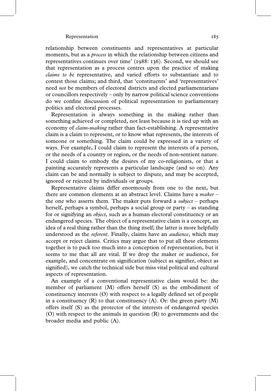relationship between constituents and representatives at particular moments, but as a process in which the relationship between citizens and representatives continues over time' (1988: 136). Second, we should see that representation as a process centres upon the practice of making claims to be representative, and varied efforts to substantiate and to contest those claims; and third, that 'constituents' and 'representatives' need *not* be members of electoral districts and elected parliamentarians or councillors respectively – only by narrow political science conventions do we confine discussion of political representation to parliamentary politics and electoral processes.

Representation is always something in the making rather than something achieved or completed, not least because it is tied up with an economy of claim-making rather than fact-establishing. A representative claim is a claim to represent, or to know what represents, the interests of someone or something. The claim could be expressed in a variety of ways. For example, I could claim to represent the interests of a person, or the needs of a country or region, or the needs of non-sentient nature. I could claim to embody the desires of my co-religionists, or that a painting accurately represents a particular landscape (and so on). Any claim can be and normally is subject to dispute, and may be accepted, ignored or rejected by individuals or groups.

Representative claims differ enormously from one to the next, but there are common elements at an abstract level. Claims have a maker – the one who asserts them. The maker puts forward a *subject* – perhaps herself, perhaps a symbol, perhaps a social group or party – as standing for or signifying an object, such as a human electoral constituency or an endangered species. The object of a representative claim is a concept, an idea of a real thing rather than the thing itself; the latter is more helpfully understood as the *referent*. Finally, claims have an *audience*, which may accept or reject claims. Critics may argue that to put all these elements together is to pack too much into a conception of representation, but it seems to me that all are vital. If we drop the maker or audience, for example, and concentrate on signification (subject as signifier, object as signified), we catch the technical side but miss vital political and cultural aspects of representation.

An example of a conventional representative claim would be: the member of parliament (M) offers herself (S) as the embodiment of constituency interests (O) with respect to a legally defined set of people in a constituency  $(R)$  to that constituency  $(A)$ . Or: the green party  $(M)$ offers itself (S) as the protector of the interests of endangered species (O) with respect to the animals in question (R) to governments and the broader media and public (A).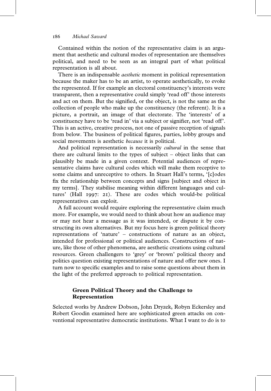Contained within the notion of the representative claim is an argument that aesthetic and cultural modes of representation are themselves political, and need to be seen as an integral part of what political representation is all about.

There is an indispensable *aesthetic* moment in political representation because the maker has to be an artist, to operate aesthetically, to evoke the represented. If for example an electoral constituency's interests were transparent, then a representative could simply 'read off' those interests and act on them. But the signified, or the object, is not the same as the collection of people who make up the constituency (the referent). It is a picture, a portrait, an image of that electorate. The 'interests' of a constituency have to be 'read in' via a subject or signifier, not 'read off'. This is an active, creative process, not one of passive reception of signals from below. The business of political figures, parties, lobby groups and social movements is aesthetic because it is political.

And political representation is necessarily *cultural* in the sense that there are cultural limits to the types of subject – object links that can plausibly be made in a given context. Potential audiences of representative claims have cultural codes which will make them receptive to some claims and unreceptive to others. In Stuart Hall's terms, '[c]odes fix the relationship between concepts and signs [subject and object in my terms]. They stabilise meaning within different languages and cultures' (Hall 1997: 21). These are codes which would-be political representatives can exploit.

A full account would require exploring the representative claim much more. For example, we would need to think about how an audience may or may not hear a message as it was intended, or dispute it by constructing its own alternatives. But my focus here is green political theory representations of 'nature' – constructions of nature as an object, intended for professional or political audiences. Constructions of nature, like those of other phenomena, are aesthetic creations using cultural resources. Green challengers to 'grey' or 'brown' political theory and politics question existing representations of nature and offer new ones. I turn now to specific examples and to raise some questions about them in the light of the preferred approach to political representation.

#### Green Political Theory and the Challenge to Representation

Selected works by Andrew Dobson, John Dryzek, Robyn Eckersley and Robert Goodin examined here are sophisticated green attacks on conventional representative democratic institutions. What I want to do is to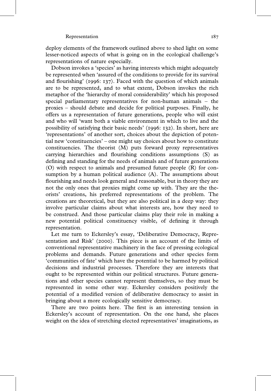deploy elements of the framework outlined above to shed light on some lesser-noticed aspects of what is going on in the ecological challenge's representations of nature especially.

Dobson invokes a 'species' as having interests which might adequately be represented when 'assured of the conditions to provide for its survival and flourishing' (1996: 137). Faced with the question of which animals are to be represented, and to what extent, Dobson invokes the rich metaphor of the 'hierarchy of moral considerability' which his proposed special parliamentary representatives for non-human animals – the proxies – should debate and decide for political purposes. Finally, he offers us a representation of future generations, people who will exist and who will 'want both a viable environment in which to live and the possibility of satisfying their basic needs' (1996: 132). In short, here are 'representations' of another sort, choices about the depiction of potential new 'constituencies' – one might say choices about how to constitute constituencies. The theorist (M) puts forward proxy representatives carrying hierarchies and flourishing conditions assumptions (S) as defining and standing for the needs of animals and of future generations (O) with respect to animals and presumed future people (R) for consumption by a human political audience (A). The assumptions about flourishing and needs look general and reasonable, but in theory they are not the only ones that proxies might come up with. They are the theorists' creations, his preferred representations of the problem. The creations are theoretical, but they are also political in a deep way: they involve particular claims about what interests are, how they need to be construed. And those particular claims play their role in making a new potential political constituency visible, of defining it through representation.

Let me turn to Eckersley's essay, 'Deliberative Democracy, Representation and Risk' (2000). This piece is an account of the limits of conventional representative machinery in the face of pressing ecological problems and demands. Future generations and other species form 'communities of fate' which have the potential to be harmed by political decisions and industrial processes. Therefore they are interests that ought to be represented within our political structures. Future generations and other species cannot represent themselves, so they must be represented in some other way. Eckersley considers positively the potential of a modified version of deliberative democracy to assist in bringing about a more ecologically sensitive democracy.

There are two points here. The first is an interesting tension in Eckersley's account of representation. On the one hand, she places weight on the idea of stretching elected representatives' imaginations, as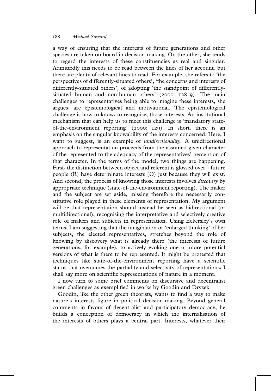a way of ensuring that the interests of future generations and other species are taken on board in decision-making. On the other, she tends to regard the interests of these constituencies as real and singular. Admittedly this needs to be read between the lines of her account, but there are plenty of relevant lines to read. For example, she refers to 'the perspectives of differently-situated others', 'the concerns and interests of differently-situated others', of adopting 'the standpoint of differentlysituated human and non-human others' (2000: 128–9). The main challenges to representatives being able to imagine these interests, she argues, are epistemological and motivational. The epistemological challenge is how to know, to recognise, those interests. An institutional mechanism that can help us to meet this challenge is 'mandatory stateof-the-environment reporting' (2000: 129). In short, there is an emphasis on the singular knowability of the interests concerned. Here, I want to suggest, is an example of *unidirectionality*. A unidirectional approach to representation proceeds from the assumed given character of the represented to the adequacy of the representatives' perception of that character. In the terms of the model, two things are happening. First, the distinction between object and referent is glossed over – future people (R) have determinate interests (O) just because they will exist. And second, the process of knowing those interests involves *discovery* by appropriate technique (state-of-the-environment reporting). The maker and the subject are set aside, missing therefore the necessarily constitutive role played in these elements of representation. My argument will be that representation should instead be seen as bidirectional (or multidirectional), recognising the interpretative and selectively creative role of makers and subjects in representation. Using Eckersley's own terms, I am suggesting that the imagination or 'enlarged thinking' of her subjects, the elected representatives, stretches beyond the role of knowing by discovery what is already there (the interests of future generations, for example), to actively evoking one or more potential versions of what is there to be represented. It might be protested that techniques like state-of-the-environment reporting have a scientific status that overcomes the partiality and selectivity of representations; I shall say more on scientific representations of nature in a moment.

I now turn to some brief comments on discursive and decentralist green challenges as exemplified in works by Goodin and Dryzek.

Goodin, like the other green theorists, wants to find a way to make nature's interests figure in political decision-making. Beyond general comments in favour of decentralist and participatory democracy, he builds a conception of democracy in which the internalisation of the interests of others plays a central part. Interests, whatever their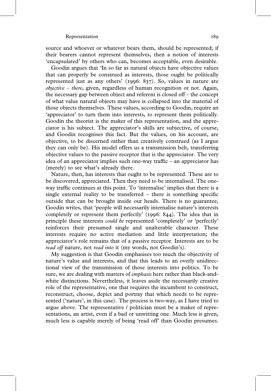source and whoever or whatever bears them, should be represented; if their bearers cannot represent themselves, then a notion of interests 'encapsulated' by others who can, becomes acceptable, even desirable.

Goodin argues that 'In so far as natural objects have objective values that can properly be construed as interests, those ought be politically represented just as any others' (1996: 837). So, values in nature are  $objective - there$ , given, regardless of human recognition or not. Again, the necessary gap between object and referent is closed off – the concept of what value natural objects may have is collapsed into the material of those objects themselves. These values, according to Goodin, require an 'appreciator' to turn them into interests, to represent them politically. Goodin the theorist is the maker of this representation, and the appreciator is his subject. The appreciator's skills are subjective, of course, and Goodin recognises this fact. But the values, on his account, are objective, to be discerned rather than creatively construed (as I argue they can only be). His model offers us a transmission belt, transferring objective values to the passive receptor that is the appreciator. The very idea of an appreciator implies such one-way traffic – an appreciator has (merely) to see what's already there.

Nature, then, has interests that ought to be represented. These are to be discovered, appreciated. Then they need to be internalised. The oneway traffic continues at this point. To 'internalise' implies that there is a single external reality to be transferred – there is something specific outside that can be brought inside our heads. There is no guarantee, Goodin writes, that 'people will necessarily internalise nature's interests completely or represent them perfectly' (1996: 844). The idea that in principle these interests could be represented 'completely' or 'perfectly' reinforces their presumed single and unalterable character. These interests require no active mediation and little interpretation; the appreciator's role remains that of a passive receptor. Interests are to be read off nature, not read into it (my words, not Goodin's).

My suggestion is that Goodin emphasises too much the objectivity of nature's value and interests, and that this leads to an overly unidirectional view of the transmission of those interests into politics. To be sure, we are dealing with matters of *emphasis* here rather than black-andwhite distinctions. Nevertheless, it leaves aside the necessarily creative role of the representative, one that requires the incumbent to construct, reconstruct, choose, depict and portray that which needs to be represented ('nature', in this case). The process is two-way, as I have tried to argue above. The representative / politician must be a maker of representations, an artist, even if a bad or unwitting one. Much less is given, much less is capable merely of being 'read off' than Goodin presumes.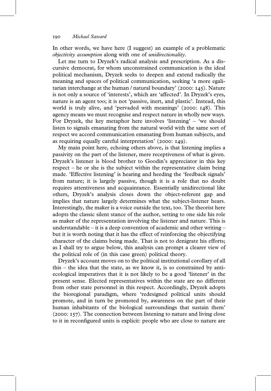In other words, we have here (I suggest) an example of a problematic objectivity assumption along with one of unidirectionality.

Let me turn to Dryzek's radical analysis and prescription. As a discursive democrat, for whom unconstrained communication is the ideal political mechanism, Dryzek seeks to deepen and extend radically the meaning and spaces of political communication, seeking 'a more egalitarian interchange at the human / natural boundary' (2000: 145). Nature is not only a source of 'interests', which are 'affected'. In Dryzek's eyes, nature is an agent too; it is not 'passive, inert, and plastic'. Instead, this world is truly alive, and 'pervaded with meanings' (2000: 148). This agency means we must recognise and respect nature in wholly new ways. For Dryzek, the key metaphor here involves 'listening' – 'we should listen to signals emanating from the natural world with the same sort of respect we accord communication emanating from human subjects, and as requiring equally careful interpretation' (2000: 149).

My main point here, echoing others above, is that listening implies a passivity on the part of the listener, mere receptiveness of what is given. Dryzek's listener is blood brother to Goodin's appreciator in this key respect – he or she is the subject within the representative claim being made. 'Effective listening' is hearing and heeding the 'feedback signals' from nature; it is largely passive, though it is a role that no doubt requires attentiveness and acquaintance. Essentially unidirectional like others, Dryzek's analysis closes down the object-referent gap and implies that nature largely determines what the subject-listener hears. Interestingly, the maker is a voice outside the text, too. The theorist here adopts the classic silent stance of the author, setting to one side his role as maker of the representation involving the listener and nature. This is understandable – it is a deep convention of academic and other writing – but it is worth noting that it has the effect of reinforcing the objectifying character of the claims being made. That is not to denigrate his efforts; as I shall try to argue below, this analysis can prompt a clearer view of the political role of (in this case green) political theory.

Dryzek's account moves on to the political institutional corollary of all this – the idea that the state, as we know it, is so constrained by antiecological imperatives that it is not likely to be a good 'listener' in the present sense. Elected representatives within the state are no different from other state personnel in this respect. Accordingly, Dryzek adopts the bioregional paradigm, where 'redesigned political units should promote, and in turn be promoted by, awareness on the part of their human inhabitants of the biological surroundings that sustain them' (2000: 157). The connection between listening to nature and living close to it in reconfigured units is explicit: people who are close to nature are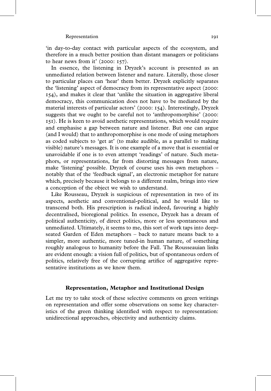'in day-to-day contact with particular aspects of the ecosystem, and therefore in a much better position than distant managers or politicians to hear news from it' (2000: 157).

In essence, the listening in Dryzek's account is presented as an unmediated relation between listener and nature. Literally, those closer to particular places can 'hear' them better. Dryzek explicitly separates the 'listening' aspect of democracy from its representative aspect (2000: 154), and makes it clear that 'unlike the situation in aggregative liberal democracy, this communication does not have to be mediated by the material interests of particular actors' (2000: 154). Interestingly, Dryzek suggests that we ought to be careful not to 'anthropomorphise' (2000: 151). He is keen to avoid aesthetic representations, which would require and emphasise a gap between nature and listener. But one can argue (and I would) that to anthropomorphise is one mode of using metaphors as coded subjects to 'get at' (to make audible, as a parallel to making visible) nature's messages. It is one example of a move that is essential or unavoidable if one is to even attempt 'readings' of nature. Such metaphors, or representations, far from distorting messages from nature, make 'listening' possible. Dryzek of course uses his own metaphors – notably that of the 'feedback signal', an electronic metaphor for nature which, precisely because it belongs to a different realm, brings into view a conception of the object we wish to understand.

Like Rousseau, Dryzek is suspicious of representation in two of its aspects, aesthetic and conventional-political, and he would like to transcend both. His prescription is radical indeed, favouring a highly decentralised, bioregional politics. In essence, Dryzek has a dream of political authenticity, of direct politics, more or less spontaneous and unmediated. Ultimately, it seems to me, this sort of work taps into deepseated Garden of Eden metaphors – back to nature means back to a simpler, more authentic, more tuned-in human nature, of something roughly analogous to humanity before the Fall. The Rousseauian links are evident enough: a vision full of politics, but of spontaneous orders of politics, relatively free of the corrupting artifice of aggregative representative institutions as we know them.

#### Representation, Metaphor and Institutional Design

Let me try to take stock of these selective comments on green writings on representation and offer some observations on some key characteristics of the green thinking identified with respect to representation: unidirectional approaches, objectivity and authenticity claims.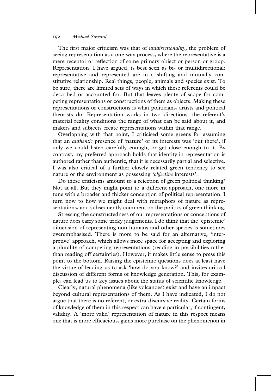The first major criticism was that of *unidirectionality*, the problem of seeing representation as a one-way process, where the representative is a mere receptor or reflection of some primary object or person or group. Representation, I have argued, is best seen as bi- or multidirectional: representative and represented are in a shifting and mutually constitutive relationship. Real things, people, animals and species exist. To be sure, there are limited sets of ways in which these referents could be described or accounted for. But that leaves plenty of scope for competing representations or constructions of them as objects. Making these representations or constructions is what politicians, artists and political theorists do. Representation works in two directions: the referent's material reality conditions the range of what can be said about it, and makers and subjects create representations within that range.

Overlapping with that point, I criticised some greens for assuming that an authentic presence of 'nature' or its interests was 'out there', if only we could listen carefully enough, or get close enough to it. By contrast, my preferred approach holds that identity in representation is authored rather than authentic, that it is necessarily partial and selective. I was also critical of a further closely related green tendency to see nature or the environment as possessing 'objective interests'.

Do these criticisms amount to a rejection of green political thinking? Not at all. But they might point to a different approach, one more in tune with a broader and thicker conception of political representation. I turn now to how we might deal with metaphors of nature as representations, and subsequently comment on the politics of green thinking.

Stressing the constructedness of our representations or conceptions of nature does carry some tricky judgements. I do think that the 'epistemic' dimension of representing non-humans and other species is sometimes overemphasised. There is more to be said for an alternative, 'interpretive' approach, which allows more space for accepting and exploring a plurality of competing representations (reading in possibilities rather than reading off certainties). However, it makes little sense to press this point to the bottom. Raising the epistemic questions does at least have the virtue of leading us to ask 'how do you know?' and invites critical discussion of different forms of knowledge generation. This, for example, can lead us to key issues about the status of scientific knowledge.

Clearly, natural phenomena (like volcanoes) exist and have an impact beyond cultural representations of them. As I have indicated, I do not argue that there is no referent, or extra-discursive reality. Certain forms of knowledge of them in this respect can have a particular, if contingent, validity. A 'more valid' representation of nature in this respect means one that is more efficacious, gains more purchase on the phenomenon in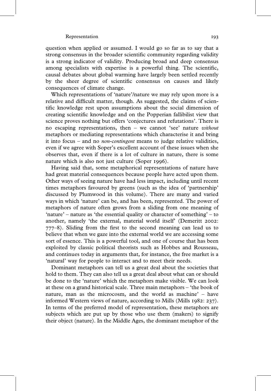question when applied or assumed. I would go so far as to say that a strong consensus in the broader scientific community regarding validity is a strong indicator of validity. Producing broad and deep consensus among specialists with expertise is a powerful thing. The scientific, causal debates about global warming have largely been settled recently by the sheer degree of scientific consensus on causes and likely consequences of climate change.

Which representations of 'nature'/nature we may rely upon more is a relative and difficult matter, though. As suggested, the claims of scientific knowledge rest upon assumptions about the social dimension of creating scientific knowledge and on the Popperian fallibilist view that science proves nothing but offers 'conjectures and refutations'. There is no escaping representations, then – we cannot 'see' nature without metaphors or mediating representations which characterise it and bring it into focus – and no non-contingent means to judge relative validities, even if we agree with Soper's excellent account of these issues when she observes that, even if there is a lot of culture in nature, there is some nature which is also not just culture (Soper 1996).

Having said that, some metaphorical representations of nature have had great material consequences because people have acted upon them. Other ways of seeing nature have had less impact, including until recent times metaphors favoured by greens (such as the idea of 'partnership' discussed by Plumwood in this volume). There are many and varied ways in which 'nature' can be, and has been, represented. The power of metaphors of nature often grows from a sliding from one meaning of 'nature' – nature as 'the essential quality or character of something' – to another, namely 'the external, material world itself' (Demeritt 2002: 777–8). Sliding from the first to the second meaning can lead us to believe that when we gaze into the external world we are accessing some sort of essence. This is a powerful tool, and one of course that has been exploited by classic political theorists such as Hobbes and Rousseau, and continues today in arguments that, for instance, the free market is a 'natural' way for people to interact and to meet their needs.

Dominant metaphors can tell us a great deal about the societies that hold to them. They can also tell us a great deal about what can or should be done to the 'nature' which the metaphors make visible. We can look at these on a grand historical scale. Three main metaphors – 'the book of nature, man as the microcosm, and the world as machine' – have informed Western views of nature, according to Mills (Mills 1982: 237). In terms of the preferred model of representation, these metaphors are subjects which are put up by those who use them (makers) to signify their object (nature). In the Middle Ages, the dominant metaphor of the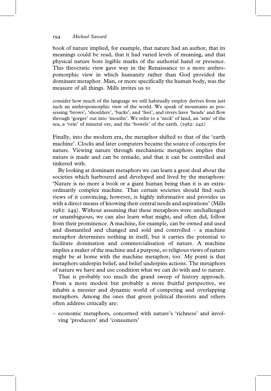book of nature implied, for example, that nature had an author, that its meanings could be read, that it had varied levels of meaning, and that physical nature bore legible marks of the authorial hand or presence. This theocratic view gave way in the Renaissance to a more anthropomorphic view in which humanity rather than God provided the dominant metaphor. Man, or more specifically the human body, was the measure of all things. Mills invites us to

consider how much of the language we still habitually employ derives from just such an anthropomorphic view of the world. We speak of mountains as possessing 'brows', 'shoulders', 'backs', and 'feet', and rivers have 'heads' and flow through 'gorges' out into 'mouths'. We refer to a 'neck' of land, an 'arm' of the sea, a 'vein' of mineral ore, and the 'bowels' of the earth. (1982: 242)

Finally, into the modern era, the metaphor shifted to that of the 'earth machine'. Clocks and later computers became the source of concepts for nature. Viewing nature through mechanistic metaphors implies that nature is made and can be remade, and that it can be controlled and tinkered with.

By looking at dominant metaphors we can learn a great deal about the societies which harboured and developed and lived by the metaphors: 'Nature is no more a book or a giant human being than it is an extraordinarily complex machine. That certain societies should find such views of it convincing, however, is highly informative and provides us with a direct means of knowing their central needs and aspirations' (Mills 1982: 249). Without assuming that these metaphors were unchallenged or unambiguous, we can also learn what might, and often did, follow from their prominence. A machine, for example, can be owned and used and dismantled and changed and sold and controlled – a machine metaphor determines nothing in itself, but it carries the potential to facilitate domination and commercialisation of nature. A machine implies a maker of the machine and a purpose, so religious views of nature might be at home with the machine metaphor, too. My point is that metaphors underpin belief, and belief underpins actions. The metaphors of nature we have and use condition what we can do with and to nature.

That is probably too much the grand sweep of history approach. From a more modest but probably a more fruitful perspective, we inhabit a messier and dynamic world of competing and overlapping metaphors. Among the ones that green political theorists and others often address critically are:

– economic metaphors, concerned with nature's 'richness' and involving 'producers' and 'consumers'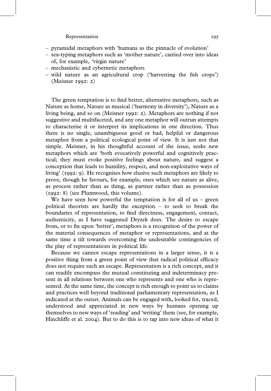- pyramidal metaphors with 'humans as the pinnacle of evolution'
- sex-typing metaphors such as 'mother nature', carried over into ideas of, for example, 'virgin nature'
- mechanistic and cybernetic metaphors
- wild nature as an agricultural crop ('harvesting the fish crops') (Meisner 1992: 2)

The green temptation is to find better, alternative metaphors, such as Nature as home, Nature as musical ('harmony in diversity'), Nature as a living being, and so on (Meisner 1992: 2). Metaphors are nothing if not suggestive and multifaceted, and any one metaphor will outrun attempts to characterise it or interpret its implications in one direction. Thus there is no single, unambiguous good or bad, helpful or dangerous metaphor from a political ecological point of view. It is just not that simple. Meisner, in his thoughtful account of the issue, seeks new metaphors which are 'both evocatively powerful and cognitively practical; they must evoke positive feelings about nature, and suggest a conception that leads to humility, respect, and non-exploitative ways of living' (1992: 9). He recognises how elusive such metaphors are likely to prove, though he favours, for example, ones which see nature as alive, as process rather than as thing, as partner rather than as possession (1992: 8) (see Plumwood, this volume).

We have seen how powerful the temptation is for all of us – green political theorists are hardly the exception – to seek to break the boundaries of representation, to find directness, engagement, contact, authenticity, as I have suggested Dryzek does. The desire to escape from, or to fix upon 'better', metaphors is a recognition of the power of the material consequences of metaphor or representations, and at the same time a tilt towards overcoming the undesirable contingencies of the play of representations in political life.

Because we cannot escape representations in a larger sense, it is a positive thing from a green point of view that radical political efficacy does not require such an escape. Representation is a rich concept, and it can readily encompass the mutual constituting and indeterminacy present in all relations between one who represents and one who is represented. At the same time, the concept is rich enough to point us to claims and practices well beyond traditional parliamentary representation, as I indicated at the outset. Animals can be engaged with, looked for, traced, understood and appreciated in new ways by humans opening up themselves to new ways of 'reading' and 'writing' them (see, for example, Hinchliffe et al. 2004). But to do this is to tap into new ideas of what it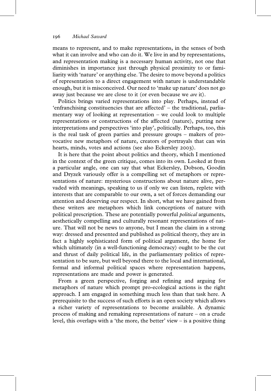means to represent, and to make representations, in the senses of both what it can involve and who can do it. We live in and by representations, and representation making is a necessary human activity, not one that diminishes in importance just through physical proximity to or familiarity with 'nature' or anything else. The desire to move beyond a politics of representation to a direct engagement with nature is understandable enough, but it is misconceived. Our need to 'make up nature' does not go away just because we are close to it (or even because we *are* it).

Politics brings varied representations into play. Perhaps, instead of 'enfranchising constituencies that are affected' – the traditional, parliamentary way of looking at representation – we could look to multiple representations or constructions of the affected (nature), putting new interpretations and perspectives 'into play', politically. Perhaps, too, this is the real task of green parties and pressure groups – makers of provocative new metaphors of nature, creators of portrayals that can win hearts, minds, votes and actions (see also Eckersley 2003).

It is here that the point about politics and theory, which I mentioned in the context of the green critique, comes into its own. Looked at from a particular angle, one can say that what Eckersley, Dobson, Goodin and Dryzek variously offer is a compelling set of metaphors or representations of nature: mysterious constructions about nature alive, pervaded with meanings, speaking to us if only we can listen, replete with interests that are comparable to our own, a set of forces demanding our attention and deserving our respect. In short, what we have gained from these writers are metaphors which link conceptions of nature with political prescription. These are potentially powerful *political* arguments, aesthetically compelling and culturally resonant representations of nature. That will not be news to anyone, but I mean the claim in a strong way: dressed and presented and published as political theory, they are in fact a highly sophisticated form of political argument, the home for which ultimately (in a well-functioning democracy) ought to be the cut and thrust of daily political life, in the parliamentary politics of representation to be sure, but well beyond there to the local and international, formal and informal political spaces where representation happens, representations are made and power is generated.

From a green perspective, forging and refining and arguing for metaphors of nature which prompt pro-ecological actions is the right approach. I am engaged in something much less than that task here. A prerequisite to the success of such efforts is an open society which allows a richer variety of representations to become available. A dynamic process of making and remaking representations of nature – on a crude level, this overlaps with a 'the more, the better' view – is a positive thing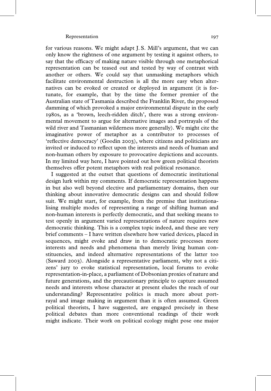for various reasons. We might adapt J. S. Mill's argument, that we can only know the rightness of one argument by testing it against others, to say that the efficacy of making nature visible through one metaphorical representation can be teased out and tested by way of contrast with another or others. We could say that unmasking metaphors which facilitate environmental destruction is all the more easy when alternatives can be evoked or created or deployed in argument (it is fortunate, for example, that by the time the former premier of the Australian state of Tasmania described the Franklin River, the proposed damming of which provoked a major environmental dispute in the early 1980s, as a 'brown, leech-ridden ditch', there was a strong environmental movement to argue for alternative images and portrayals of the wild river and Tasmanian wilderness more generally). We might cite the imaginative power of metaphor as a contributor to processes of 'reflective democracy' (Goodin 2003), where citizens and politicians are invited or induced to reflect upon the interests and needs of human and non-human others by exposure to provocative depictions and accounts. In my limited way here, I have pointed out how green political theorists themselves offer potent metaphors with real political resonance.

I suggested at the outset that questions of democratic institutional design lurk within my comments. If democratic representation happens in but also well beyond elective and parliamentary domains, then our thinking about innovative democratic designs can and should follow suit. We might start, for example, from the premise that institutionalising multiple modes of representing a range of shifting human and non-human interests is perfectly democratic, and that seeking means to test openly in argument varied representations of nature requires new democratic thinking. This is a complex topic indeed, and these are very brief comments – I have written elsewhere how varied devices, placed in sequences, might evoke and draw in to democratic processes more interests and needs and phenomena than merely living human constituencies, and indeed alternative representations of the latter too (Saward 2003). Alongside a representative parliament, why not a citizens' jury to evoke statistical representation, local forums to evoke representation-in-place, a parliament of Dobsonian proxies of nature and future generations, and the precautionary principle to capture assumed needs and interests whose character at present eludes the reach of our understanding? Representative politics is much more about portrayal and image making in argument than it is often assumed. Green political theorists, I have suggested, are engaged precisely in these political debates than more conventional readings of their work might indicate. Their work on political ecology might pose one major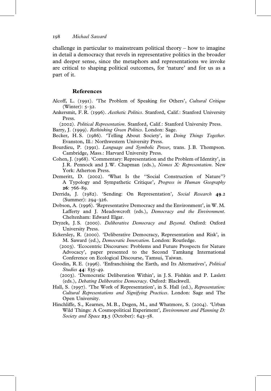challenge in particular to mainstream political theory – how to imagine in detail a democracy that revels in representative politics in the broader and deeper sense, since the metaphors and representations we invoke are critical to shaping political outcomes, for 'nature' and for us as a part of it.

#### References

- Alcoff, L. (1991). 'The Problem of Speaking for Others', Cultural Critique (Winter): 5–32.
- Ankersmit, F. R. (1996). Aesthetic Politics. Stanford, Calif.: Stanford University Press.

(2002). Political Representation. Stanford, Calif.: Stanford University Press.

Barry, J. (1999). Rethinking Green Politics. London: Sage.

- Becker, H.S. (1986). 'Telling About Society', in Doing Things Together. Evanston, Ill.: Northwestern University Press.
- Bourdieu, P. (1991). Language and Symbolic Power, trans. J. B. Thompson. Cambridge, Mass.: Harvard University Press.
- Cohen, J. (1968). 'Commentary: Representation and the Problem of Identity', in J. R. Pennock and J. W. Chapman (eds.), Nomos X: Representation. New York: Atherton Press.
- Demeritt, D. (2002). 'What Is the ''Social Construction of Nature''? A Typology and Sympathetic Critique', Progress in Human Geography 26: 766–89.
- Derrida, J. (1982). 'Sending: On Representation', Social Research 49.2 (Summer): 294–326.
- Dobson, A. (1996). 'Representative Democracy and the Environment', in W. M. Lafferty and J. Meadowcroft (eds.), Democracy and the Environment. Cheltenham: Edward Elgar.
- Dryzek, J.S. (2000). Deliberative Democracy and Beyond. Oxford: Oxford University Press.
- Eckersley, R. (2000). 'Deliberative Democracy, Representation and Risk', in M. Saward (ed.), Democratic Innovation. London: Routledge.
	- (2003). 'Ecocentric Discourses: Problems and Future Prospects for Nature Advocacy', paper presented to the Second Tamkang International Conference on Ecological Discourse, Tamsui, Taiwan.
- Goodin, R. E. (1996). 'Enfranchising the Earth, and Its Alternatives', Political Studies **44**: 835–49.
	- (2003). 'Democratic Deliberation Within', in J. S. Fishkin and P. Laslett (eds.), Debating Deliberative Democracy. Oxford: Blackwell.
- Hall, S. (1997). 'The Work of Representation', in S. Hall (ed.), Representation: Cultural Representations and Signifying Practices. London: Sage and The Open University.
- Hinchliffe, S., Kearnes, M. B., Degen, M., and Whatmore, S. (2004). 'Urban Wild Things: A Cosmopolitical Experiment', *Environment and Planning D:* Society and Space 23.5 (October): 643-58.